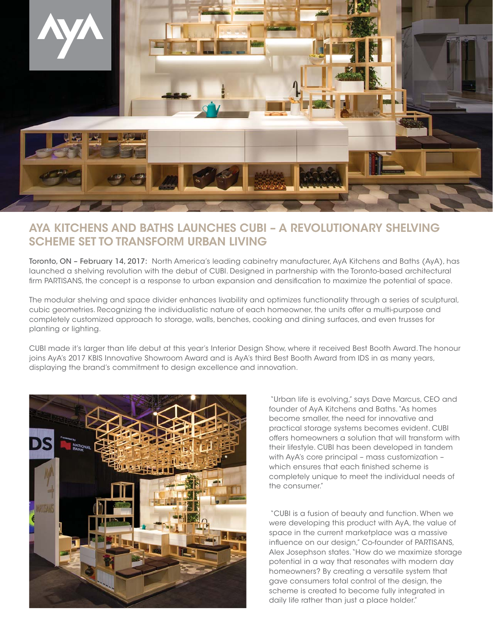

## **AYA KITCHENS AND BATHS LAUNCHES CUBI – A REVOLUTIONARY SHELVING SCHEME SET TO TRANSFORM URBAN LIVING**

Toronto, ON – February 14, 2017: North America's leading cabinetry manufacturer, AyA Kitchens and Baths (AyA), has launched a shelving revolution with the debut of CUBI. Designed in partnership with the Toronto-based architectural firm PARTISANS, the concept is a response to urban expansion and densification to maximize the potential of space.

The modular shelving and space divider enhances livability and optimizes functionality through a series of sculptural, cubic geometries. Recognizing the individualistic nature of each homeowner, the units offer a multi-purpose and completely customized approach to storage, walls, benches, cooking and dining surfaces, and even trusses for planting or lighting.

CUBI made it's larger than life debut at this year's Interior Design Show, where it received Best Booth Award. The honour joins AyA's 2017 KBIS Innovative Showroom Award and is AyA's third Best Booth Award from IDS in as many years, displaying the brand's commitment to design excellence and innovation.



 "Urban life is evolving," says Dave Marcus, CEO and founder of AyA Kitchens and Baths. "As homes become smaller, the need for innovative and practical storage systems becomes evident. CUBI offers homeowners a solution that will transform with their lifestyle. CUBI has been developed in tandem with AyA's core principal – mass customization – which ensures that each finished scheme is completely unique to meet the individual needs of the consumer."

 "CUBI is a fusion of beauty and function. When we were developing this product with AyA, the value of space in the current marketplace was a massive influence on our design," Co-founder of PARTISANS, Alex Josephson states. "How do we maximize storage potential in a way that resonates with modern day homeowners? By creating a versatile system that gave consumers total control of the design, the scheme is created to become fully integrated in daily life rather than just a place holder."